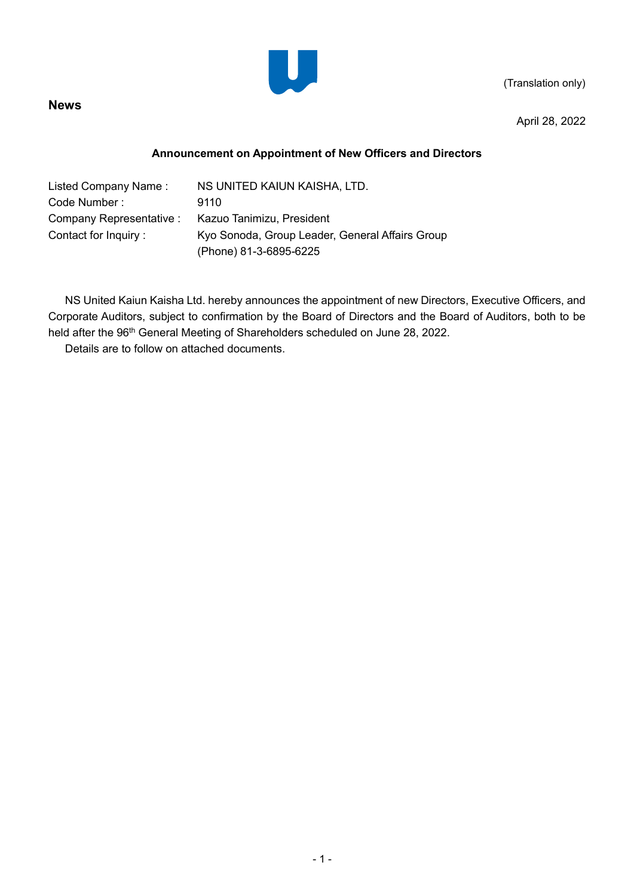(Translation only)



**News**

April 28, 2022

## **Announcement on Appointment of New Officers and Directors**

| NS UNITED KAIUN KAISHA, LTD.                    |
|-------------------------------------------------|
| 9110                                            |
| Kazuo Tanimizu, President                       |
| Kyo Sonoda, Group Leader, General Affairs Group |
| (Phone) 81-3-6895-6225                          |
|                                                 |

NS United Kaiun Kaisha Ltd. hereby announces the appointment of new Directors, Executive Officers, and Corporate Auditors, subject to confirmation by the Board of Directors and the Board of Auditors, both to be held after the 96<sup>th</sup> General Meeting of Shareholders scheduled on June 28, 2022.

Details are to follow on attached documents.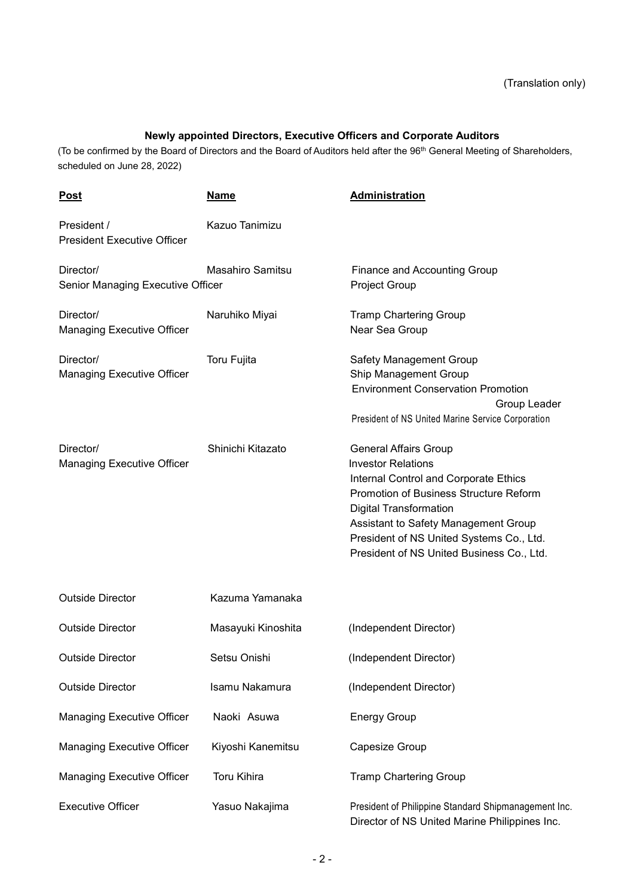## **Newly appointed Directors, Executive Officers and Corporate Auditors**

(To be confirmed by the Board of Directors and the Board of Auditors held after the 96<sup>th</sup> General Meeting of Shareholders, scheduled on June 28, 2022)

| <b>Post</b>                                       | <b>Name</b>             | <b>Administration</b>                                                                                                                                                                                                                                                                                                 |
|---------------------------------------------------|-------------------------|-----------------------------------------------------------------------------------------------------------------------------------------------------------------------------------------------------------------------------------------------------------------------------------------------------------------------|
| President /<br><b>President Executive Officer</b> | Kazuo Tanimizu          |                                                                                                                                                                                                                                                                                                                       |
| Director/<br>Senior Managing Executive Officer    | <b>Masahiro Samitsu</b> | Finance and Accounting Group<br><b>Project Group</b>                                                                                                                                                                                                                                                                  |
| Director/<br><b>Managing Executive Officer</b>    | Naruhiko Miyai          | <b>Tramp Chartering Group</b><br>Near Sea Group                                                                                                                                                                                                                                                                       |
| Director/<br>Managing Executive Officer           | Toru Fujita             | Safety Management Group<br>Ship Management Group<br><b>Environment Conservation Promotion</b><br>Group Leader<br>President of NS United Marine Service Corporation                                                                                                                                                    |
| Director/<br>Managing Executive Officer           | Shinichi Kitazato       | <b>General Affairs Group</b><br><b>Investor Relations</b><br>Internal Control and Corporate Ethics<br><b>Promotion of Business Structure Reform</b><br><b>Digital Transformation</b><br>Assistant to Safety Management Group<br>President of NS United Systems Co., Ltd.<br>President of NS United Business Co., Ltd. |
| <b>Outside Director</b>                           | Kazuma Yamanaka         |                                                                                                                                                                                                                                                                                                                       |
| <b>Outside Director</b>                           | Masayuki Kinoshita      | (Independent Director)                                                                                                                                                                                                                                                                                                |
| <b>Outside Director</b>                           | Setsu Onishi            | (Independent Director)                                                                                                                                                                                                                                                                                                |
| <b>Outside Director</b>                           | Isamu Nakamura          | (Independent Director)                                                                                                                                                                                                                                                                                                |
| <b>Managing Executive Officer</b>                 | Naoki Asuwa             | <b>Energy Group</b>                                                                                                                                                                                                                                                                                                   |
| <b>Managing Executive Officer</b>                 | Kiyoshi Kanemitsu       | Capesize Group                                                                                                                                                                                                                                                                                                        |
| <b>Managing Executive Officer</b>                 | <b>Toru Kihira</b>      | <b>Tramp Chartering Group</b>                                                                                                                                                                                                                                                                                         |
| <b>Executive Officer</b>                          | Yasuo Nakajima          | President of Philippine Standard Shipmanagement Inc.<br>Director of NS United Marine Philippines Inc.                                                                                                                                                                                                                 |